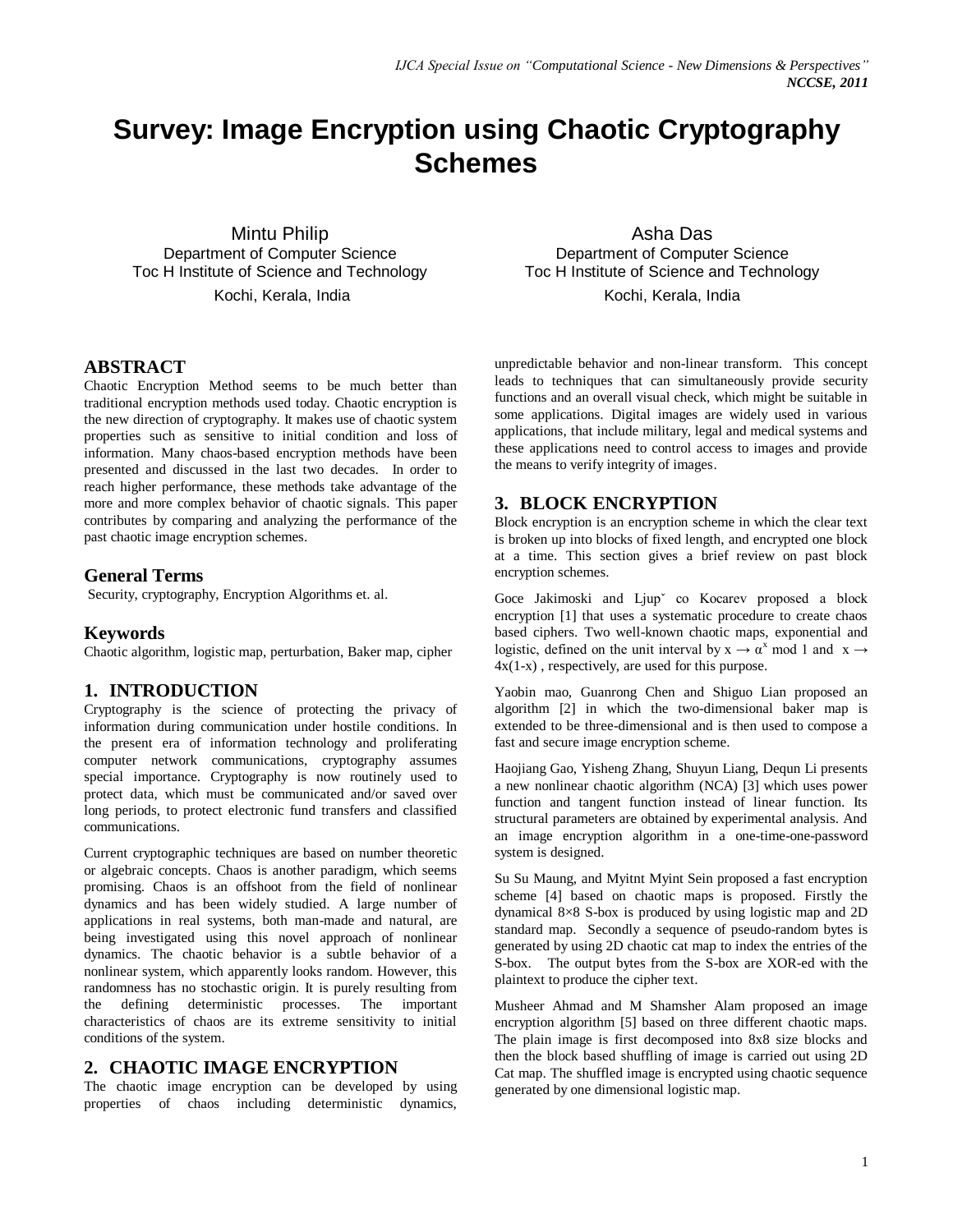# **Survey: Image Encryption using Chaotic Cryptography Schemes**

Mintu Philip Department of Computer Science Toc H Institute of Science and Technology Kochi, Kerala, India

#### **ABSTRACT**

Chaotic Encryption Method seems to be much better than traditional encryption methods used today. Chaotic encryption is the new direction of cryptography. It makes use of chaotic system properties such as sensitive to initial condition and loss of information. Many chaos-based encryption methods have been presented and discussed in the last two decades. In order to reach higher performance, these methods take advantage of the more and more complex behavior of chaotic signals. This paper contributes by comparing and analyzing the performance of the past chaotic image encryption schemes.

#### **General Terms**

Security, cryptography, Encryption Algorithms et. al.

#### **Keywords**

Chaotic algorithm, logistic map, perturbation, Baker map, cipher

# **1. INTRODUCTION**

Cryptography is the science of protecting the privacy of information during communication under hostile conditions. In the present era of information technology and proliferating computer network communications, cryptography assumes special importance. Cryptography is now routinely used to protect data, which must be communicated and/or saved over long periods, to protect electronic fund transfers and classified communications.

Current cryptographic techniques are based on number theoretic or algebraic concepts. Chaos is another paradigm, which seems promising. Chaos is an offshoot from the field of nonlinear dynamics and has been widely studied. A large number of applications in real systems, both man-made and natural, are being investigated using this novel approach of nonlinear dynamics. The chaotic behavior is a subtle behavior of a nonlinear system, which apparently looks random. However, this randomness has no stochastic origin. It is purely resulting from the defining deterministic processes. The important characteristics of chaos are its extreme sensitivity to initial conditions of the system.

#### **2. CHAOTIC IMAGE ENCRYPTION**

The chaotic image encryption can be developed by using properties of chaos including deterministic dynamics,

Asha Das Department of Computer Science Toc H Institute of Science and Technology Kochi, Kerala, India

unpredictable behavior and non-linear transform. This concept leads to techniques that can simultaneously provide security functions and an overall visual check, which might be suitable in some applications. Digital images are widely used in various applications, that include military, legal and medical systems and these applications need to control access to images and provide the means to verify integrity of images.

### **3. BLOCK ENCRYPTION**

Block encryption is an encryption scheme in which the clear text is broken up into blocks of fixed length, and encrypted one block at a time. This section gives a brief review on past block encryption schemes.

Goce Jakimoski and Ljupˇ co Kocarev proposed a block encryption [1] that uses a systematic procedure to create chaos based ciphers. Two well-known chaotic maps, exponential and logistic, defined on the unit interval by  $x \to \alpha^x$  mod 1 and  $x \to$  $4x(1-x)$ , respectively, are used for this purpose.

Yaobin mao, Guanrong Chen and Shiguo Lian proposed an algorithm [2] in which the two-dimensional baker map is extended to be three-dimensional and is then used to compose a fast and secure image encryption scheme.

Haojiang Gao, Yisheng Zhang, Shuyun Liang, Dequn Li presents a new nonlinear chaotic algorithm (NCA) [3] which uses power function and tangent function instead of linear function. Its structural parameters are obtained by experimental analysis. And an image encryption algorithm in a one-time-one-password system is designed.

Su Su Maung, and Myitnt Myint Sein proposed a fast encryption scheme [4] based on chaotic maps is proposed. Firstly the dynamical 8×8 S-box is produced by using logistic map and 2D standard map. Secondly a sequence of pseudo-random bytes is generated by using 2D chaotic cat map to index the entries of the S-box. The output bytes from the S-box are XOR-ed with the plaintext to produce the cipher text.

Musheer Ahmad and M Shamsher Alam proposed an image encryption algorithm [5] based on three different chaotic maps. The plain image is first decomposed into 8x8 size blocks and then the block based shuffling of image is carried out using 2D Cat map. The shuffled image is encrypted using chaotic sequence generated by one dimensional logistic map.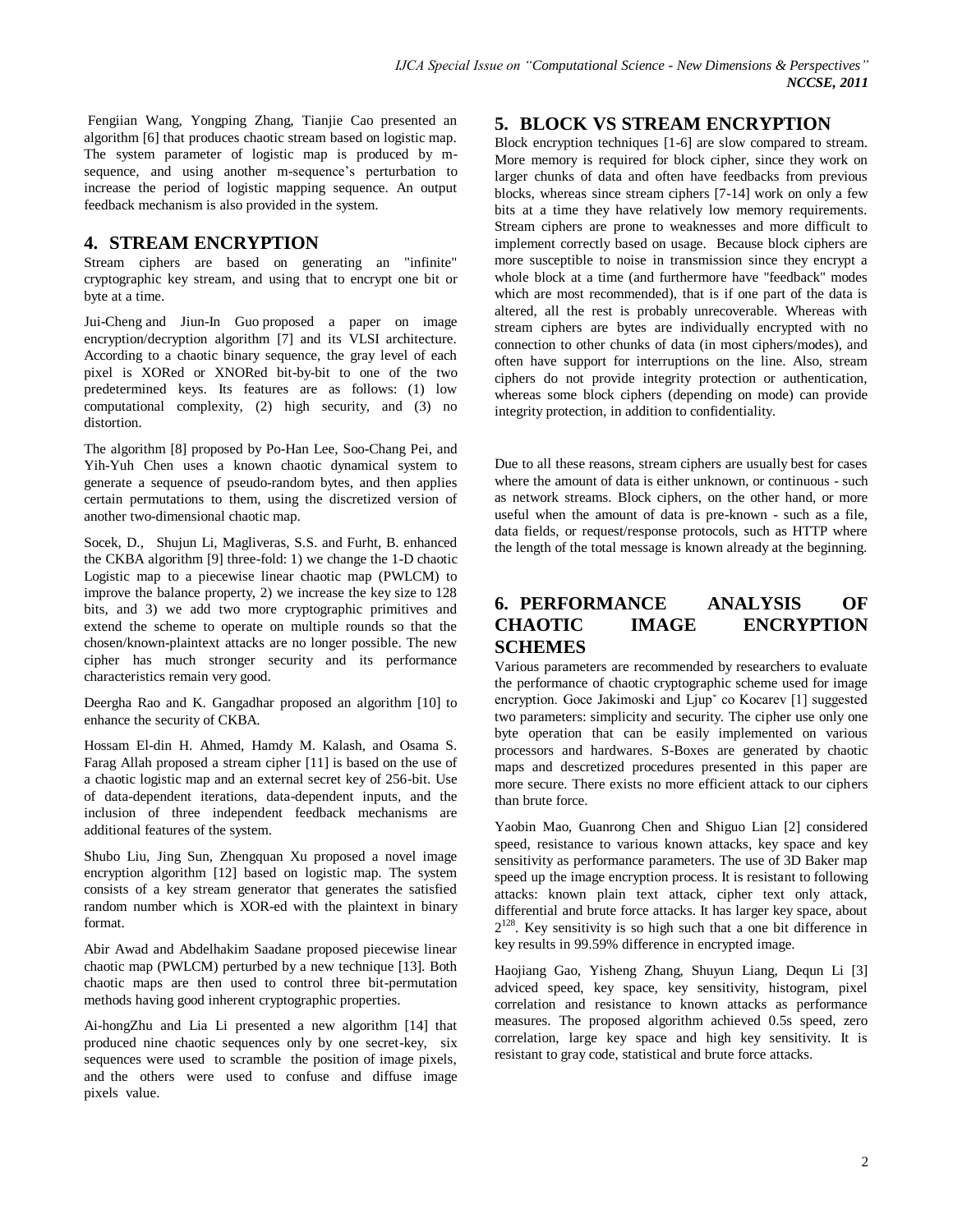Fengiian Wang, Yongping Zhang, Tianjie Cao presented an algorithm [6] that produces chaotic stream based on logistic map. The system parameter of logistic map is produced by msequence, and using another m-sequence's perturbation to increase the period of logistic mapping sequence. An output feedback mechanism is also provided in the system.

# **4. STREAM ENCRYPTION**

Stream ciphers are based on generating an "infinite" cryptographic key stream, and using that to encrypt one bit or byte at a time.

Jui-Cheng and Jiun-In Guo proposed a paper on image encryption/decryption algorithm [7] and its VLSI architecture. According to a chaotic binary sequence, the gray level of each pixel is XORed or XNORed bit-by-bit to one of the two predetermined keys. Its features are as follows: (1) low computational complexity, (2) high security, and (3) no distortion.

The algorithm [8] proposed by Po-Han Lee, Soo-Chang Pei, and Yih-Yuh Chen uses a known chaotic dynamical system to generate a sequence of pseudo-random bytes, and then applies certain permutations to them, using the discretized version of another two-dimensional chaotic map.

Socek, D., Shujun Li, Magliveras, S.S. and Furht, B. enhanced the CKBA algorithm [9] three-fold: 1) we change the 1-D chaotic Logistic map to a piecewise linear chaotic map (PWLCM) to improve the balance property, 2) we increase the key size to 128 bits, and 3) we add two more cryptographic primitives and extend the scheme to operate on multiple rounds so that the chosen/known-plaintext attacks are no longer possible. The new cipher has much stronger security and its performance characteristics remain very good.

Deergha Rao and K. Gangadhar proposed an algorithm [10] to enhance the security of CKBA.

Hossam El-din H. Ahmed, Hamdy M. Kalash, and Osama S. Farag Allah proposed a stream cipher [11] is based on the use of a chaotic logistic map and an external secret key of 256-bit. Use of data-dependent iterations, data-dependent inputs, and the inclusion of three independent feedback mechanisms are additional features of the system.

Shubo Liu, Jing Sun, Zhengquan Xu proposed a novel image encryption algorithm [12] based on logistic map. The system consists of a key stream generator that generates the satisfied random number which is XOR-ed with the plaintext in binary format.

Abir Awad and Abdelhakim Saadane proposed piecewise linear chaotic map (PWLCM) perturbed by a new technique [13]. Both chaotic maps are then used to control three bit-permutation methods having good inherent cryptographic properties.

Ai-hongZhu and Lia Li presented a new algorithm [14] that produced nine chaotic sequences only by one secret-key, six sequences were used to scramble the position of image pixels, and the others were used to confuse and diffuse image pixels value.

# **5. BLOCK VS STREAM ENCRYPTION**

Block encryption techniques [1-6] are slow compared to stream. More memory is required for block cipher, since they work on larger chunks of data and often have feedbacks from previous blocks, whereas since stream ciphers [7-14] work on only a few bits at a time they have relatively low memory requirements. Stream ciphers are prone to weaknesses and more difficult to implement correctly based on usage. Because block ciphers are more susceptible to noise in transmission since they encrypt a whole block at a time (and furthermore have "feedback" modes which are most recommended), that is if one part of the data is altered, all the rest is probably unrecoverable. Whereas with stream ciphers are bytes are individually encrypted with no connection to other chunks of data (in most ciphers/modes), and often have support for interruptions on the line. Also, stream ciphers do not provide integrity protection or authentication, whereas some block ciphers (depending on mode) can provide integrity protection, in addition to confidentiality.

Due to all these reasons, stream ciphers are usually best for cases where the amount of data is either unknown, or continuous - such as network streams. Block ciphers, on the other hand, or more useful when the amount of data is pre-known - such as a file, data fields, or request/response protocols, such as HTTP where the length of the total message is known already at the beginning.

# **6. PERFORMANCE ANALYSIS OF CHAOTIC IMAGE ENCRYPTION SCHEMES**

Various parameters are recommended by researchers to evaluate the performance of chaotic cryptographic scheme used for image encryption. Goce Jakimoski and Ljup<sup>x</sup> co Kocarev [1] suggested two parameters: simplicity and security. The cipher use only one byte operation that can be easily implemented on various processors and hardwares. S-Boxes are generated by chaotic maps and descretized procedures presented in this paper are more secure. There exists no more efficient attack to our ciphers than brute force.

Yaobin Mao, Guanrong Chen and Shiguo Lian [2] considered speed, resistance to various known attacks, key space and key sensitivity as performance parameters. The use of 3D Baker map speed up the image encryption process. It is resistant to following attacks: known plain text attack, cipher text only attack, differential and brute force attacks. It has larger key space, about  $2^{128}$ . Key sensitivity is so high such that a one bit difference in key results in 99.59% difference in encrypted image.

Haojiang Gao, Yisheng Zhang, Shuyun Liang, Dequn Li [3] adviced speed, key space, key sensitivity, histogram, pixel correlation and resistance to known attacks as performance measures. The proposed algorithm achieved 0.5s speed, zero correlation, large key space and high key sensitivity. It is resistant to gray code, statistical and brute force attacks.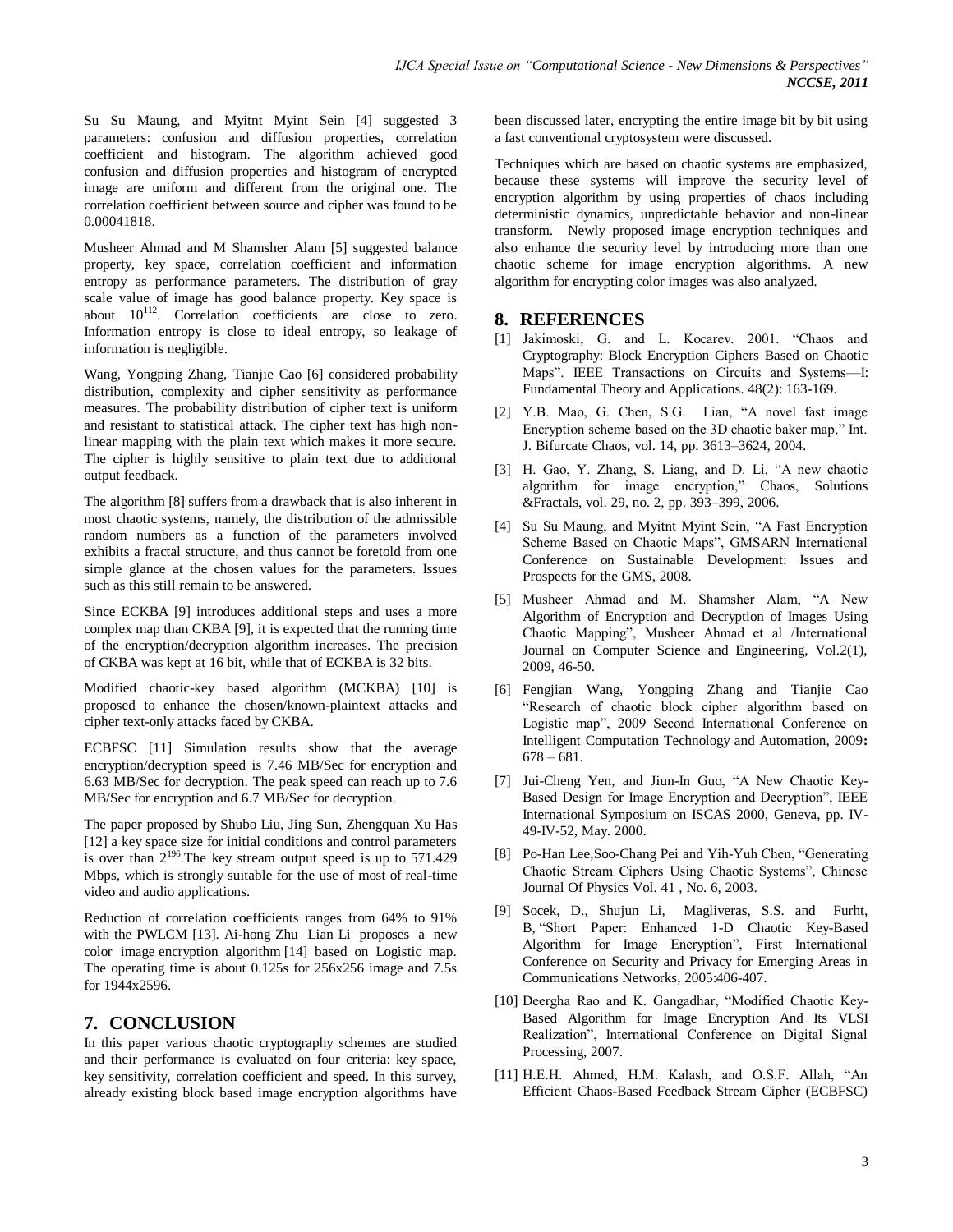Su Su Maung, and Myitnt Myint Sein [4] suggested 3 parameters: confusion and diffusion properties, correlation coefficient and histogram. The algorithm achieved good confusion and diffusion properties and histogram of encrypted image are uniform and different from the original one. The correlation coefficient between source and cipher was found to be 0.00041818.

Musheer Ahmad and M Shamsher Alam [5] suggested balance property, key space, correlation coefficient and information entropy as performance parameters. The distribution of gray scale value of image has good balance property. Key space is about  $10^{112}$ . Correlation coefficients are close to zero. Information entropy is close to ideal entropy, so leakage of information is negligible.

Wang, Yongping Zhang, Tianjie Cao [6] considered probability distribution, complexity and cipher sensitivity as performance measures. The probability distribution of cipher text is uniform and resistant to statistical attack. The cipher text has high nonlinear mapping with the plain text which makes it more secure. The cipher is highly sensitive to plain text due to additional output feedback.

The algorithm [8] suffers from a drawback that is also inherent in most chaotic systems, namely, the distribution of the admissible random numbers as a function of the parameters involved exhibits a fractal structure, and thus cannot be foretold from one simple glance at the chosen values for the parameters. Issues such as this still remain to be answered.

Since ECKBA [9] introduces additional steps and uses a more complex map than CKBA [9], it is expected that the running time of the encryption/decryption algorithm increases. The precision of CKBA was kept at 16 bit, while that of ECKBA is 32 bits.

Modified chaotic-key based algorithm (MCKBA) [10] is proposed to enhance the chosen/known-plaintext attacks and cipher text-only attacks faced by CKBA.

ECBFSC [11] Simulation results show that the average encryption/decryption speed is 7.46 MB/Sec for encryption and 6.63 MB/Sec for decryption. The peak speed can reach up to 7.6 MB/Sec for encryption and 6.7 MB/Sec for decryption.

The paper proposed by Shubo Liu, Jing Sun, Zhengquan Xu Has [12] a key space size for initial conditions and control parameters is over than  $2^{196}$ . The key stream output speed is up to 571.429 Mbps, which is strongly suitable for the use of most of real-time video and audio applications.

Reduction of correlation coefficients ranges from 64% to 91% with the PWLCM [13]. Ai-hong Zhu Lian Li proposes a new color image encryption algorithm [14] based on Logistic map. The operating time is about 0.125s for 256x256 image and 7.5s for 1944x2596.

# **7. CONCLUSION**

In this paper various chaotic cryptography schemes are studied and their performance is evaluated on four criteria: key space, key sensitivity, correlation coefficient and speed. In this survey, already existing block based image encryption algorithms have been discussed later, encrypting the entire image bit by bit using a fast conventional cryptosystem were discussed.

Techniques which are based on chaotic systems are emphasized, because these systems will improve the security level of encryption algorithm by using properties of chaos including deterministic dynamics, unpredictable behavior and non-linear transform. Newly proposed image encryption techniques and also enhance the security level by introducing more than one chaotic scheme for image encryption algorithms. A new algorithm for encrypting color images was also analyzed.

#### **8. REFERENCES**

- [1] Jakimoski, G. and L. Kocarev. 2001. "Chaos and Cryptography: Block Encryption Ciphers Based on Chaotic Maps". IEEE Transactions on Circuits and Systems-I: Fundamental Theory and Applications. 48(2): 163-169.
- [2] Y.B. Mao, G. Chen, S.G. Lian, "A novel fast image Encryption scheme based on the 3D chaotic baker map," Int. J. Bifurcate Chaos, vol. 14, pp. 3613–3624, 2004.
- [3] H. Gao, Y. Zhang, S. Liang, and D. Li, "A new chaotic algorithm for image encryption," Chaos, Solutions &Fractals, vol. 29, no. 2, pp. 393–399, 2006.
- [4] Su Su Maung, and Myitnt Myint Sein, "A Fast Encryption Scheme Based on Chaotic Maps", GMSARN International Conference on Sustainable Development: Issues and Prospects for the GMS, 2008.
- [5] Musheer Ahmad and M. Shamsher Alam, "A New Algorithm of Encryption and Decryption of Images Using Chaotic Mapping", Musheer Ahmad et al /International Journal on Computer Science and Engineering, Vol.2(1), 2009, 46-50.
- [6] Fengjian Wang, Yongping Zhang and Tianjie Cao ―Research of chaotic block cipher algorithm based on Logistic map", 2009 Second International Conference on Intelligent Computation Technology and Automation, 2009**:**  678 – 681.
- [7] Jui-Cheng Yen, and Jiun-In Guo, "A New Chaotic Key-Based Design for Image Encryption and Decryption", IEEE International Symposium on ISCAS 2000, Geneva, pp. IV-49-IV-52, May. 2000.
- [8] Po-Han Lee, Soo-Chang Pei and Yih-Yuh Chen, "Generating Chaotic Stream Ciphers Using Chaotic Systems", Chinese Journal Of Physics Vol. 41 , No. 6, 2003.
- [9] Socek, D., Shujun Li, Magliveras, S.S. and Furht, B, "Short Paper: Enhanced 1-D Chaotic Key-Based Algorithm for Image Encryption", First International Conference on Security and Privacy for Emerging Areas in Communications Networks, 2005:406-407.
- [10] Deergha Rao and K. Gangadhar, "Modified Chaotic Key-Based Algorithm for Image Encryption And Its VLSI Realization", International Conference on Digital Signal Processing, 2007.
- $[11]$  H.E.H. Ahmed, H.M. Kalash, and O.S.F. Allah, "An Efficient Chaos-Based Feedback Stream Cipher (ECBFSC)